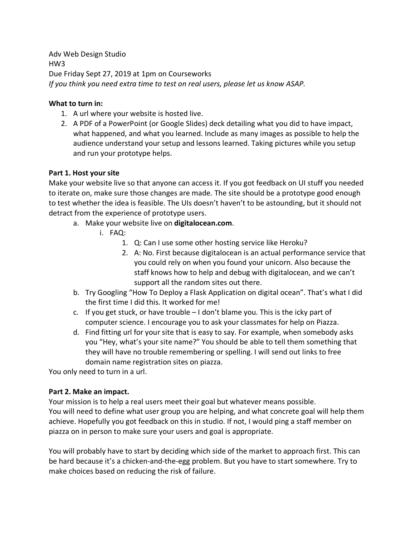Adv Web Design Studio HW3 Due Friday Sept 27, 2019 at 1pm on Courseworks *If you think you need extra time to test on real users, please let us know ASAP.*

## **What to turn in:**

- 1. A url where your website is hosted live.
- 2. A PDF of a PowerPoint (or Google Slides) deck detailing what you did to have impact, what happened, and what you learned. Include as many images as possible to help the audience understand your setup and lessons learned. Taking pictures while you setup and run your prototype helps.

## **Part 1. Host your site**

Make your website live so that anyone can access it. If you got feedback on UI stuff you needed to iterate on, make sure those changes are made. The site should be a prototype good enough to test whether the idea is feasible. The UIs doesn't haven't to be astounding, but it should not detract from the experience of prototype users.

- a. Make your website live on **digitalocean.com**.
	- i. FAQ:
		- 1. Q: Can I use some other hosting service like Heroku?
		- 2. A: No. First because digitalocean is an actual performance service that you could rely on when you found your unicorn. Also because the staff knows how to help and debug with digitalocean, and we can't support all the random sites out there.
- b. Try Googling "How To Deploy a Flask Application on digital ocean". That's what I did the first time I did this. It worked for me!
- c. If you get stuck, or have trouble  $-1$  don't blame you. This is the icky part of computer science. I encourage you to ask your classmates for help on Piazza.
- d. Find fitting url for your site that is easy to say. For example, when somebody asks you "Hey, what's your site name?" You should be able to tell them something that they will have no trouble remembering or spelling. I will send out links to free domain name registration sites on piazza.

You only need to turn in a url.

## **Part 2. Make an impact.**

Your mission is to help a real users meet their goal but whatever means possible. You will need to define what user group you are helping, and what concrete goal will help them achieve. Hopefully you got feedback on this in studio. If not, I would ping a staff member on piazza on in person to make sure your users and goal is appropriate.

You will probably have to start by deciding which side of the market to approach first. This can be hard because it's a chicken-and-the-egg problem. But you have to start somewhere. Try to make choices based on reducing the risk of failure.